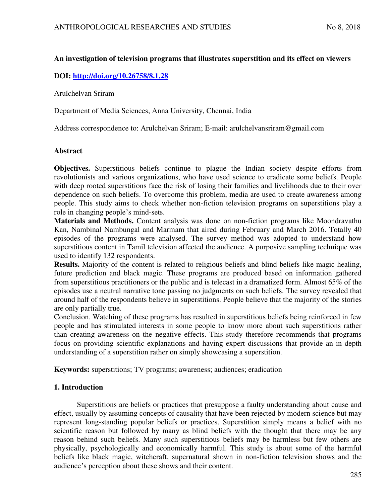### **An investigation of television programs that illustrates superstition and its effect on viewers**

### **DOI:<http://doi.org/10.26758/8.1.28>**

Arulchelvan Sriram

Department of Media Sciences, Anna University, Chennai, India

Address correspondence to: Arulchelvan Sriram; E-mail: arulchelvansriram@gmail.com

#### **Abstract**

**Objectives.** Superstitious beliefs continue to plague the Indian society despite efforts from revolutionists and various organizations, who have used science to eradicate some beliefs. People with deep rooted superstitions face the risk of losing their families and livelihoods due to their over dependence on such beliefs. To overcome this problem, media are used to create awareness among people. This study aims to check whether non-fiction television programs on superstitions play a role in changing people's mind-sets.

**Materials and Methods.** Content analysis was done on non-fiction programs like Moondravathu Kan, Nambinal Nambungal and Marmam that aired during February and March 2016. Totally 40 episodes of the programs were analysed. The survey method was adopted to understand how superstitious content in Tamil television affected the audience. A purposive sampling technique was used to identify 132 respondents.

**Results.** Majority of the content is related to religious beliefs and blind beliefs like magic healing, future prediction and black magic. These programs are produced based on information gathered from superstitious practitioners or the public and is telecast in a dramatized form. Almost 65% of the episodes use a neutral narrative tone passing no judgments on such beliefs. The survey revealed that around half of the respondents believe in superstitions. People believe that the majority of the stories are only partially true.

Conclusion. Watching of these programs has resulted in superstitious beliefs being reinforced in few people and has stimulated interests in some people to know more about such superstitions rather than creating awareness on the negative effects. This study therefore recommends that programs focus on providing scientific explanations and having expert discussions that provide an in depth understanding of a superstition rather on simply showcasing a superstition.

**Keywords:** superstitions; TV programs; awareness; audiences; eradication

#### **1. Introduction**

 Superstitions are beliefs or practices that presuppose a faulty understanding about cause and effect, usually by assuming concepts of causality that have been rejected by modern science but may represent long-standing popular beliefs or practices. Superstition simply means a belief with no scientific reason but followed by many as blind beliefs with the thought that there may be any reason behind such beliefs. Many such superstitious beliefs may be harmless but few others are physically, psychologically and economically harmful. This study is about some of the harmful beliefs like black magic, witchcraft, supernatural shown in non-fiction television shows and the audience's perception about these shows and their content.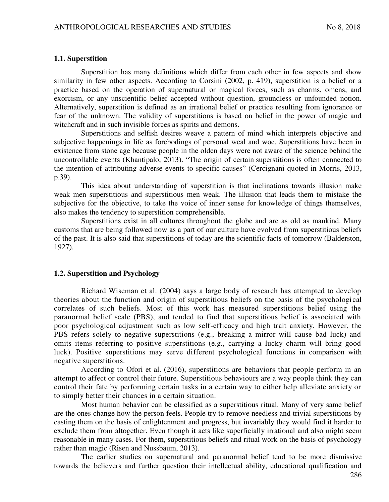#### **1.1. Superstition**

Superstition has many definitions which differ from each other in few aspects and show similarity in few other aspects. According to Corsini (2002, p. 419), superstition is a belief or a practice based on the operation of supernatural or magical forces, such as charms, omens, and exorcism, or any unscientific belief accepted without question, groundless or unfounded notion. Alternatively, superstition is defined as an irrational belief or practice resulting from ignorance or fear of the unknown. The validity of superstitions is based on belief in the power of magic and witchcraft and in such invisible forces as spirits and demons.

Superstitions and selfish desires weave a pattern of mind which interprets objective and subjective happenings in life as forebodings of personal weal and woe. Superstitions have been in existence from stone age because people in the olden days were not aware of the science behind the uncontrollable events (Khantipalo, 2013). "The origin of certain superstitions is often connected to the intention of attributing adverse events to specific causes" (Cercignani quoted in Morris, 2013, p.39).

This idea about understanding of superstition is that inclinations towards illusion make weak men superstitious and superstitious men weak. The illusion that leads them to mistake the subjective for the objective, to take the voice of inner sense for knowledge of things themselves, also makes the tendency to superstition comprehensible.

Superstitions exist in all cultures throughout the globe and are as old as mankind. Many customs that are being followed now as a part of our culture have evolved from superstitious beliefs of the past. It is also said that superstitions of today are the scientific facts of tomorrow (Balderston, 1927).

#### **1.2. Superstition and Psychology**

Richard Wiseman et al. (2004) says a large body of research has attempted to develop theories about the function and origin of superstitious beliefs on the basis of the psychological correlates of such beliefs. Most of this work has measured superstitious belief using the paranormal belief scale (PBS), and tended to find that superstitious belief is associated with poor psychological adjustment such as low self-efficacy and high trait anxiety. However, the PBS refers solely to negative superstitions (e.g., breaking a mirror will cause bad luck) and omits items referring to positive superstitions (e.g., carrying a lucky charm will bring good luck). Positive superstitions may serve different psychological functions in comparison with negative superstitions.

According to Ofori et al. (2016), superstitions are behaviors that people perform in an attempt to affect or control their future. Superstitious behaviours are a way people think they can control their fate by performing certain tasks in a certain way to either help alleviate anxiety or to simply better their chances in a certain situation.

Most human behavior can be classified as a superstitious ritual. Many of very same belief are the ones change how the person feels. People try to remove needless and trivial superstitions by casting them on the basis of enlightenment and progress, but invariably they would find it harder to exclude them from altogether. Even though it acts like superficially irrational and also might seem reasonable in many cases. For them, superstitious beliefs and ritual work on the basis of psychology rather than magic (Risen and Nussbaum, 2013).

The earlier studies on supernatural and paranormal belief tend to be more dismissive towards the believers and further question their intellectual ability, educational qualification and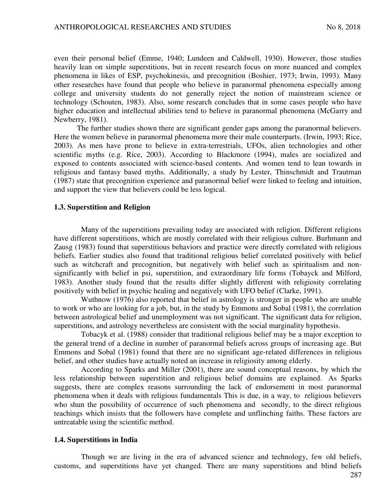even their personal belief (Emme, 1940; Lundeen and Caldwell, 1930). However, those studies heavily lean on simple superstitions, but in recent research focus on more nuanced and complex phenomena in likes of ESP, psychokinesis, and precognition (Boshier, 1973; Irwin, 1993). Many other researches have found that people who believe in paranormal phenomena especially among college and university students do not generally reject the notion of mainstream science or technology (Schouten, 1983). Also, some research concludes that in some cases people who have higher education and intellectual abilities tend to believe in paranormal phenomena (McGarry and Newberry, 1981).

The further studies shown there are significant gender gaps among the paranormal believers. Here the women believe in paranormal phenomena more their male counterparts. (Irwin, 1993; Rice, 2003). As men have prone to believe in extra-terrestrials, UFOs, alien technologies and other scientific myths (e.g. Rice, 2003). According to Blackmore (1994), males are socialized and exposed to contents associated with science-based contents. And women tend to lean towards in religious and fantasy based myths. Additionally, a study by Lester, Thinschmidt and Trautman (1987) state that precognition experience and paranormal belief were linked to feeling and intuition, and support the view that believers could be less logical.

#### **1.3. Superstition and Religion**

Many of the superstitions prevailing today are associated with religion. Different religions have different superstitions, which are mostly correlated with their religious culture. Burhmann and Zausg (1983) found that superstitious behaviors and practice were directly correlated with religious beliefs. Earlier studies also found that traditional religious belief correlated positively with belief such as witchcraft and precognition, but negatively with belief such as spiritualism and nonsignificantly with belief in psi, superstition, and extraordinary life forms (Tobayck and Milford, 1983). Another study found that the results differ slightly different with religiosity correlating positively with belief in psychic healing and negatively with UFO belief (Clarke, 1991).

Wuthnow (1976) also reported that belief in astrology is stronger in people who are unable to work or who are looking for a job, but, in the study by Emmons and Sobal (1981), the correlation between astrological belief and unemployment was not significant. The significant data for religion, superstitions, and astrology nevertheless are consistent with the social marginality hypothesis.

Tobacyk et al. (1988) consider that traditional religious belief may be a major exception to the general trend of a decline in number of paranormal beliefs across groups of increasing age. But Emmons and Sobal (1981) found that there are no significant age-related differences in religious belief, and other studies have actually noted an increase in religiosity among elderly.

According to Sparks and Miller (2001), there are sound conceptual reasons, by which the less relationship between superstition and religious belief domains are explained. As Sparks suggests, there are complex reasons surrounding the lack of endorsement in most paranormal phenomena when it deals with religious fundamentals This is due, in a way, to religious believers who shun the possibility of occurrence of such phenomena and secondly, to the direct religious teachings which insists that the followers have complete and unflinching faiths. These factors are untreatable using the scientific method.

#### **1.4. Superstitions in India**

Though we are living in the era of advanced science and technology, few old beliefs, customs, and superstitions have yet changed. There are many superstitions and blind beliefs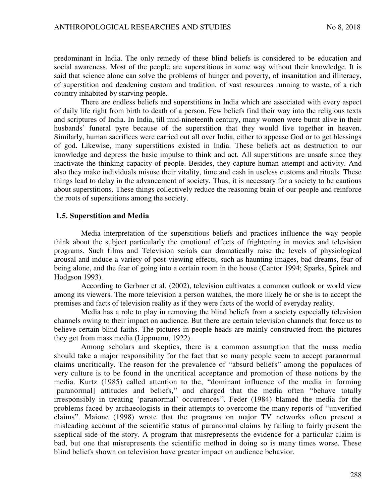predominant in India. The only remedy of these blind beliefs is considered to be education and social awareness. Most of the people are superstitious in some way without their knowledge. It is said that science alone can solve the problems of hunger and poverty, of insanitation and illiteracy, of superstition and deadening custom and tradition, of vast resources running to waste, of a rich country inhabited by starving people.

There are endless beliefs and superstitions in India which are associated with every aspect of daily life right from birth to death of a person. Few beliefs find their way into the religious texts and scriptures of India. In India, till mid-nineteenth century, many women were burnt alive in their husbands' funeral pyre because of the superstition that they would live together in heaven. Similarly, human sacrifices were carried out all over India, either to appease God or to get blessings of god. Likewise, many superstitions existed in India. These beliefs act as destruction to our knowledge and depress the basic impulse to think and act. All superstitions are unsafe since they inactivate the thinking capacity of people. Besides, they capture human attempt and activity. And also they make individuals misuse their vitality, time and cash in useless customs and rituals. These things lead to delay in the advancement of society. Thus, it is necessary for a society to be cautious about superstitions. These things collectively reduce the reasoning brain of our people and reinforce the roots of superstitions among the society.

#### **1.5. Superstition and Media**

Media interpretation of the superstitious beliefs and practices influence the way people think about the subject particularly the emotional effects of frightening in movies and television programs. Such films and Television serials can dramatically raise the levels of physiological arousal and induce a variety of post-viewing effects, such as haunting images, bad dreams, fear of being alone, and the fear of going into a certain room in the house (Cantor 1994; Sparks, Spirek and Hodgson 1993).

According to Gerbner et al. (2002), television cultivates a common outlook or world view among its viewers. The more television a person watches, the more likely he or she is to accept the premises and facts of television reality as if they were facts of the world of everyday reality.

Media has a role to play in removing the blind beliefs from a society especially television channels owing to their impact on audience. But there are certain television channels that force us to believe certain blind faiths. The pictures in people heads are mainly constructed from the pictures they get from mass media (Lippmann, 1922).

Among scholars and skeptics, there is a common assumption that the mass media should take a major responsibility for the fact that so many people seem to accept paranormal claims uncritically. The reason for the prevalence of "absurd beliefs" among the populaces of very culture is to be found in the uncritical acceptance and promotion of these notions by the media. Kurtz (1985) called attention to the, "dominant influence of the media in forming [paranormal] attitudes and beliefs," and charged that the media often "behave totally irresponsibly in treating 'paranormal' occurrences". Feder (1984) blamed the media for the problems faced by archaeologists in their attempts to overcome the many reports of "unverified claims". Maione (1998) wrote that the programs on major TV networks often present a misleading account of the scientific status of paranormal claims by failing to fairly present the skeptical side of the story. A program that misrepresents the evidence for a particular claim is bad, but one that misrepresents the scientific method in doing so is many times worse. These blind beliefs shown on television have greater impact on audience behavior.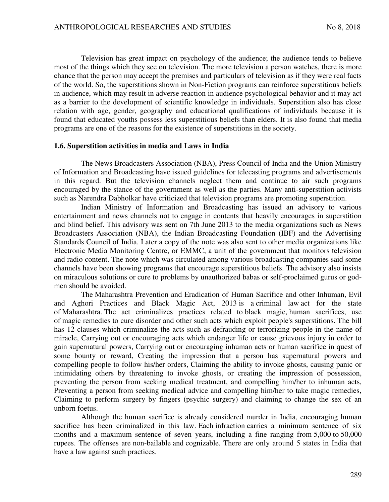Television has great impact on psychology of the audience; the audience tends to believe most of the things which they see on television. The more television a person watches, there is more chance that the person may accept the premises and particulars of television as if they were real facts of the world. So, the superstitions shown in Non-Fiction programs can reinforce superstitious beliefs in audience, which may result in adverse reaction in audience psychological behavior and it may act as a barrier to the development of scientific knowledge in individuals. Superstition also has close relation with age, gender, geography and educational qualifications of individuals because it is found that educated youths possess less superstitious beliefs than elders. It is also found that media programs are one of the reasons for the existence of superstitions in the society.

#### **1.6. Superstition activities in media and Laws in India**

The News Broadcasters Association (NBA), Press Council of India and the Union Ministry of Information and Broadcasting have issued guidelines for telecasting programs and advertisements in this regard. But the television channels neglect them and continue to air such programs encouraged by the stance of the government as well as the parties. Many anti-superstition activists such as Narendra Dabholkar have criticized that television programs are promoting superstition.

Indian Ministry of Information and Broadcasting has issued an advisory to various entertainment and news channels not to engage in contents that heavily encourages in superstition and blind belief. This advisory was sent on 7th June 2013 to the media organizations such as News Broadcasters Association (NBA), the Indian Broadcasting Foundation (IBF) and the Advertising Standards Council of India. Later a copy of the note was also sent to other media organizations like Electronic Media Monitoring Centre, or EMMC, a unit of the government that monitors television and radio content. The note which was circulated among various broadcasting companies said some channels have been showing programs that encourage superstitious beliefs. The advisory also insists on miraculous solutions or cure to problems by unauthorized babas or self-proclaimed gurus or godmen should be avoided.

The Maharashtra Prevention and Eradication of Human Sacrifice and other Inhuman, Evil and Aghori Practices and Black Magic Act, 2013 is a criminal law act for the state of Maharashtra. The act criminalizes practices related to black magic, human sacrifices, use of magic remedies to cure disorder and other such acts which exploit people's superstitions. The bill has 12 clauses which criminalize the acts such as defrauding or terrorizing people in the name of miracle, Carrying out or encouraging acts which endanger life or cause grievous injury in order to gain supernatural powers, Carrying out or encouraging inhuman acts or human sacrifice in quest of some bounty or reward, Creating the impression that a person has supernatural powers and compelling people to follow his/her orders, Claiming the ability to invoke ghosts, causing panic or intimidating others by threatening to invoke ghosts, or creating the impression of possession, preventing the person from seeking medical treatment, and compelling him/her to inhuman acts, Preventing a person from seeking medical advice and compelling him/her to take magic remedies, Claiming to perform surgery by fingers (psychic surgery) and claiming to change the sex of an unborn foetus.

Although the human sacrifice is already considered murder in India, encouraging human sacrifice has been criminalized in this law. Each infraction carries a minimum sentence of six months and a maximum sentence of seven years, including a fine ranging from 5,000 to 50,000 rupees. The offenses are non-bailable and cognizable. There are only around 5 states in India that have a law against such practices.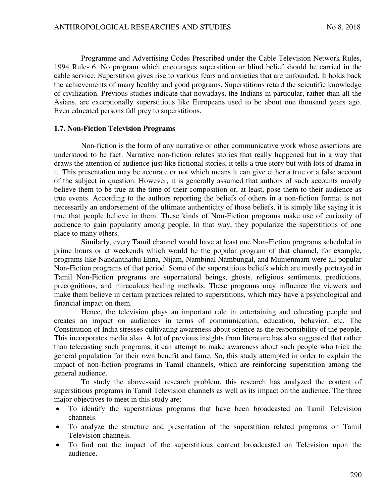Programme and Advertising Codes Prescribed under the Cable Television Network Rules, 1994 Rule- 6. No program which encourages superstition or blind belief should be carried in the cable service; Superstition gives rise to various fears and anxieties that are unfounded. It holds back the achievements of many healthy and good programs. Superstitions retard the scientific knowledge of civilization. Previous studies indicate that nowadays, the Indians in particular, rather than all the Asians, are exceptionally superstitious like Europeans used to be about one thousand years ago. Even educated persons fall prey to superstitions.

#### **1.7. Non-Fiction Television Programs**

Non-fiction is the form of any narrative or other communicative work whose assertions are understood to be fact. Narrative non-fiction relates stories that really happened but in a way that draws the attention of audience just like fictional stories, it tells a true story but with lots of drama in it. This presentation may be accurate or not which means it can give either a true or a false account of the subject in question. However, it is generally assumed that authors of such accounts mostly believe them to be true at the time of their composition or, at least, pose them to their audience as true events. According to the authors reporting the beliefs of others in a non-fiction format is not necessarily an endorsement of the ultimate authenticity of those beliefs, it is simply like saying it is true that people believe in them. These kinds of Non-Fiction programs make use of curiosity of audience to gain popularity among people. In that way, they popularize the superstitions of one place to many others.

Similarly, every Tamil channel would have at least one Non-Fiction programs scheduled in prime hours or at weekends which would be the popular program of that channel, for example, programs like Nandanthathu Enna, Nijam, Nambinal Nambungal, and Munjenmam were all popular Non-Fiction programs of that period. Some of the superstitious beliefs which are mostly portrayed in Tamil Non-Fiction programs are supernatural beings, ghosts, religious sentiments, predictions, precognitions, and miraculous healing methods. These programs may influence the viewers and make them believe in certain practices related to superstitions, which may have a psychological and financial impact on them.

Hence, the television plays an important role in entertaining and educating people and creates an impact on audiences in terms of communication, education, behavior, etc. The Constitution of India stresses cultivating awareness about science as the responsibility of the people. This incorporates media also. A lot of previous insights from literature has also suggested that rather than telecasting such programs, it can attempt to make awareness about such people who trick the general population for their own benefit and fame. So, this study attempted in order to explain the impact of non-fiction programs in Tamil channels, which are reinforcing superstition among the general audience.

To study the above-said research problem, this research has analyzed the content of superstitious programs in Tamil Television channels as well as its impact on the audience. The three major objectives to meet in this study are:

- To identify the superstitious programs that have been broadcasted on Tamil Television channels.
- To analyze the structure and presentation of the superstition related programs on Tamil Television channels.
- To find out the impact of the superstitious content broadcasted on Television upon the audience.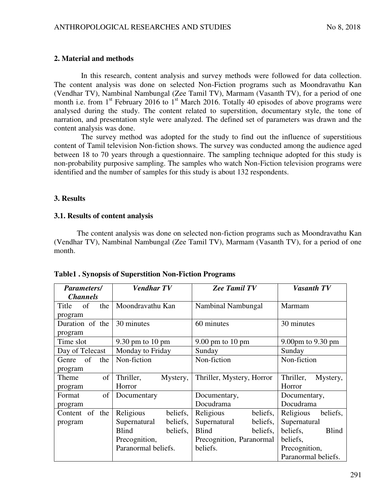### **2. Material and methods**

In this research, content analysis and survey methods were followed for data collection. The content analysis was done on selected Non-Fiction programs such as Moondravathu Kan (Vendhar TV), Nambinal Nambungal (Zee Tamil TV), Marmam (Vasanth TV), for a period of one month i.e. from  $1<sup>st</sup>$  February 2016 to  $1<sup>st</sup>$  March 2016. Totally 40 episodes of above programs were analysed during the study. The content related to superstition, documentary style, the tone of narration, and presentation style were analyzed. The defined set of parameters was drawn and the content analysis was done.

The survey method was adopted for the study to find out the influence of superstitious content of Tamil television Non-fiction shows. The survey was conducted among the audience aged between 18 to 70 years through a questionnaire. The sampling technique adopted for this study is non-probability purposive sampling. The samples who watch Non-Fiction television programs were identified and the number of samples for this study is about 132 respondents.

### **3. Results**

#### **3.1. Results of content analysis**

The content analysis was done on selected non-fiction programs such as Moondravathu Kan (Vendhar TV), Nambinal Nambungal (Zee Tamil TV), Marmam (Vasanth TV), for a period of one month.

| <b>Parameters/</b> | <b>Vendhar TV</b>          | <b>Zee Tamil TV</b>        | <b>Vasanth TV</b>        |  |
|--------------------|----------------------------|----------------------------|--------------------------|--|
| <b>Channels</b>    |                            |                            |                          |  |
| of<br>the<br>Title | Moondravathu Kan           | Nambinal Nambungal         | Marmam                   |  |
| program            |                            |                            |                          |  |
| Duration of the    | 30 minutes                 | 60 minutes                 | 30 minutes               |  |
| program            |                            |                            |                          |  |
| Time slot          | $9.30 \text{ pm}$ to 10 pm | $9.00 \text{ pm}$ to 10 pm | 9.00pm to 9.30 pm        |  |
| Day of Telecast    | Monday to Friday           | Sunday                     | Sunday                   |  |
| Genre of<br>the    | Non-fiction                | Non-fiction                | Non-fiction              |  |
| program            |                            |                            |                          |  |
| of<br>Theme        | Thriller,<br>Mystery,      | Thriller, Mystery, Horror  | Thriller,<br>Mystery,    |  |
| program            | Horror                     |                            | Horror                   |  |
| of<br>Format       | Documentary                | Documentary,               | Documentary,             |  |
| program            |                            | Docudrama                  | Docudrama                |  |
| Content of the     | Religious<br>beliefs,      | Religious<br>beliefs,      | Religious<br>beliefs,    |  |
| program            | Supernatural<br>beliefs,   | Supernatural<br>beliefs,   | Supernatural             |  |
|                    | Blind<br>beliefs,          | Blind<br>beliefs,          | beliefs,<br><b>Blind</b> |  |
|                    | Precognition,              | Precognition, Paranormal   | beliefs,                 |  |
|                    | Paranormal beliefs.        | beliefs.                   | Precognition,            |  |
|                    |                            |                            | Paranormal beliefs.      |  |

#### **Table1 . Synopsis of Superstition Non-Fiction Programs**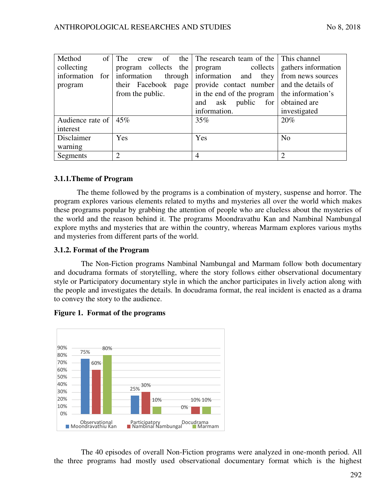| Method<br>$\sigma$ f | The<br>crew            | of the The research team of the This channel |                             |
|----------------------|------------------------|----------------------------------------------|-----------------------------|
| collecting           | program collects the   | program collects                             | gathers information         |
| information<br>for   | information<br>through | information and they                         | from news sources           |
| program              | their Facebook<br>page | provide contact number                       | and the details of          |
|                      | from the public.       | in the end of the program                    | the information's           |
|                      |                        | public<br>for<br>ask<br>and                  | obtained are                |
|                      |                        | information.                                 | investigated                |
| Audience rate of     | 45%                    | 35%                                          | 20%                         |
| interest             |                        |                                              |                             |
| Disclaimer           | Yes                    | Yes                                          | N <sub>o</sub>              |
| warning              |                        |                                              |                             |
| Segments             | $\overline{2}$         | 4                                            | $\mathcal{D}_{\mathcal{A}}$ |

## **3.1.1.Theme of Program**

The theme followed by the programs is a combination of mystery, suspense and horror. The program explores various elements related to myths and mysteries all over the world which makes these programs popular by grabbing the attention of people who are clueless about the mysteries of the world and the reason behind it. The programs Moondravathu Kan and Nambinal Nambungal explore myths and mysteries that are within the country, whereas Marmam explores various myths and mysteries from different parts of the world.

### **3.1.2. Format of the Program**

The Non-Fiction programs Nambinal Nambungal and Marmam follow both documentary and docudrama formats of storytelling, where the story follows either observational documentary style or Participatory documentary style in which the anchor participates in lively action along with the people and investigates the details. In docudrama format, the real incident is enacted as a drama to convey the story to the audience.



#### **Figure 1. Format of the programs**

The 40 episodes of overall Non-Fiction programs were analyzed in one-month period. All the three programs had mostly used observational documentary format which is the highest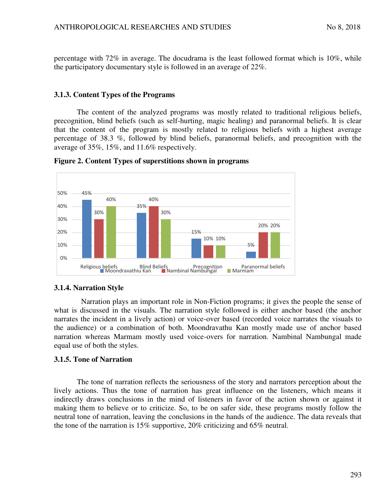percentage with 72% in average. The docudrama is the least followed format which is 10%, while the participatory documentary style is followed in an average of 22%.

### **3.1.3. Content Types of the Programs**

The content of the analyzed programs was mostly related to traditional religious beliefs, precognition, blind beliefs (such as self-hurting, magic healing) and paranormal beliefs. It is clear that the content of the program is mostly related to religious beliefs with a highest average percentage of 38.3 %, followed by blind beliefs, paranormal beliefs, and precognition with the average of 35%, 15%, and 11.6% respectively.





## **3.1.4. Narration Style**

Narration plays an important role in Non-Fiction programs; it gives the people the sense of what is discussed in the visuals. The narration style followed is either anchor based (the anchor narrates the incident in a lively action) or voice-over based (recorded voice narrates the visuals to the audience) or a combination of both. Moondravathu Kan mostly made use of anchor based narration whereas Marmam mostly used voice-overs for narration. Nambinal Nambungal made equal use of both the styles.

## **3.1.5. Tone of Narration**

The tone of narration reflects the seriousness of the story and narrators perception about the lively actions. Thus the tone of narration has great influence on the listeners, which means it indirectly draws conclusions in the mind of listeners in favor of the action shown or against it making them to believe or to criticize. So, to be on safer side, these programs mostly follow the neutral tone of narration, leaving the conclusions in the hands of the audience. The data reveals that the tone of the narration is 15% supportive, 20% criticizing and 65% neutral.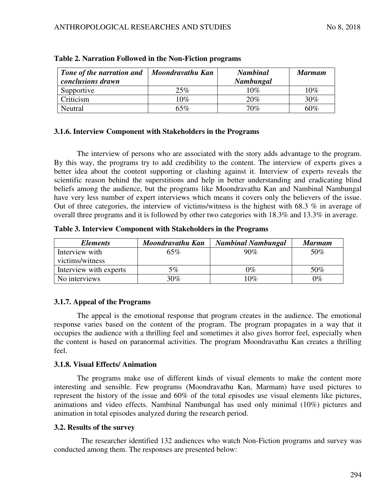| Tone of the narration and<br>conclusions drawn | Moondravathu Kan | <b>Nambinal</b><br>Nambungal | <b>Marmam</b> |
|------------------------------------------------|------------------|------------------------------|---------------|
| Supportive                                     | 25%              | 10%                          | 10%           |
| Criticism                                      | $10\%$           | 20%                          | 30%           |
| Neutral                                        | 65%              | 70%                          | 60%           |

### **3.1.6. Interview Component with Stakeholders in the Programs**

The interview of persons who are associated with the story adds advantage to the program. By this way, the programs try to add credibility to the content. The interview of experts gives a better idea about the content supporting or clashing against it. Interview of experts reveals the scientific reason behind the superstitions and help in better understanding and eradicating blind beliefs among the audience, but the programs like Moondravathu Kan and Nambinal Nambungal have very less number of expert interviews which means it covers only the believers of the issue. Out of three categories, the interview of victims/witness is the highest with 68.3 % in average of overall three programs and it is followed by other two categories with 18.3% and 13.3% in average.

**Table 3. Interview Component with Stakeholders in the Programs** 

| <b>Elements</b>        | Moondravathu Kan | <b>Nambinal Nambungal</b> | <b>Marmam</b> |
|------------------------|------------------|---------------------------|---------------|
| Interview with         | 65%              | 90%                       | 50%           |
| victims/witness        |                  |                           |               |
| Interview with experts | 5%               | $0\%$                     | 50%           |
| No interviews          | $30\%$           | $10\%$                    | $0\%$         |

## **3.1.7. Appeal of the Programs**

The appeal is the emotional response that program creates in the audience. The emotional response varies based on the content of the program. The program propagates in a way that it occupies the audience with a thrilling feel and sometimes it also gives horror feel, especially when the content is based on paranormal activities. The program Moondravathu Kan creates a thrilling feel.

## **3.1.8. Visual Effects/ Animation**

The programs make use of different kinds of visual elements to make the content more interesting and sensible. Few programs (Moondravathu Kan, Marmam) have used pictures to represent the history of the issue and 60% of the total episodes use visual elements like pictures, animations and video effects. Nambinal Nambungal has used only minimal (10%) pictures and animation in total episodes analyzed during the research period.

## **3.2. Results of the survey**

The researcher identified 132 audiences who watch Non-Fiction programs and survey was conducted among them. The responses are presented below: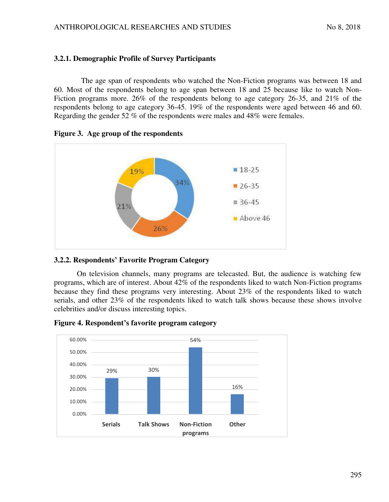## **3.2.1. Demographic Profile of Survey Participants**

The age span of respondents who watched the Non-Fiction programs was between 18 and 60. Most of the respondents belong to age span between 18 and 25 because like to watch Non-Fiction programs more. 26% of the respondents belong to age category 26-35, and 21% of the respondents belong to age category 36-45. 19% of the respondents were aged between 46 and 60. Regarding the gender 52 % of the respondents were males and 48% were females.



### **Figure 3. Age group of the respondents**

## **3.2.2. Respondents' Favorite Program Category**

On television channels, many programs are telecasted. But, the audience is watching few programs, which are of interest. About 42% of the respondents liked to watch Non-Fiction programs because they find these programs very interesting. About 23% of the respondents liked to watch serials, and other 23% of the respondents liked to watch talk shows because these shows involve celebrities and/or discuss interesting topics.



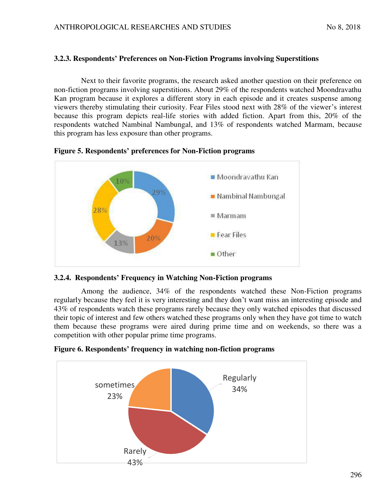### **3.2.3. Respondents' Preferences on Non-Fiction Programs involving Superstitions**

Next to their favorite programs, the research asked another question on their preference on non-fiction programs involving superstitions. About 29% of the respondents watched Moondravathu Kan program because it explores a different story in each episode and it creates suspense among viewers thereby stimulating their curiosity. Fear Files stood next with 28% of the viewer's interest because this program depicts real-life stories with added fiction. Apart from this, 20% of the respondents watched Nambinal Nambungal, and 13% of respondents watched Marmam, because this program has less exposure than other programs.



**Figure 5. Respondents' preferences for Non-Fiction programs** 

## **3.2.4. Respondents' Frequency in Watching Non-Fiction programs**

Among the audience, 34% of the respondents watched these Non-Fiction programs regularly because they feel it is very interesting and they don't want miss an interesting episode and 43% of respondents watch these programs rarely because they only watched episodes that discussed their topic of interest and few others watched these programs only when they have got time to watch them because these programs were aired during prime time and on weekends, so there was a competition with other popular prime time programs.



**Figure 6. Respondents' frequency in watching non-fiction programs**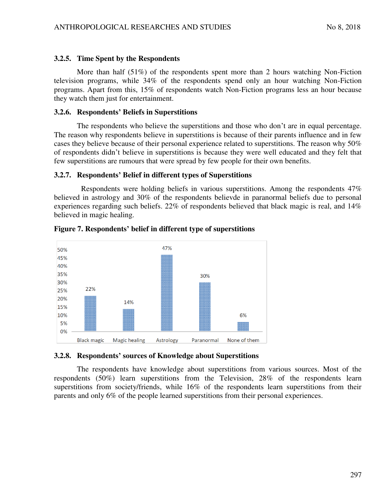#### **3.2.5. Time Spent by the Respondents**

More than half (51%) of the respondents spent more than 2 hours watching Non-Fiction television programs, while 34% of the respondents spend only an hour watching Non-Fiction programs. Apart from this, 15% of respondents watch Non-Fiction programs less an hour because they watch them just for entertainment.

#### **3.2.6. Respondents' Beliefs in Superstitions**

The respondents who believe the superstitions and those who don't are in equal percentage. The reason why respondents believe in superstitions is because of their parents influence and in few cases they believe because of their personal experience related to superstitions. The reason why 50% of respondents didn't believe in superstitions is because they were well educated and they felt that few superstitions are rumours that were spread by few people for their own benefits.

#### **3.2.7. Respondents' Belief in different types of Superstitions**

Respondents were holding beliefs in various superstitions. Among the respondents 47% believed in astrology and 30% of the respondents believde in paranormal beliefs due to personal experiences regarding such beliefs. 22% of respondents believed that black magic is real, and 14% believed in magic healing.



**Figure 7. Respondents' belief in different type of superstitions** 

#### **3.2.8. Respondents' sources of Knowledge about Superstitions**

The respondents have knowledge about superstitions from various sources. Most of the respondents (50%) learn superstitions from the Television, 28% of the respondents learn superstitions from society/friends, while 16% of the respondents learn superstitions from their parents and only 6% of the people learned superstitions from their personal experiences.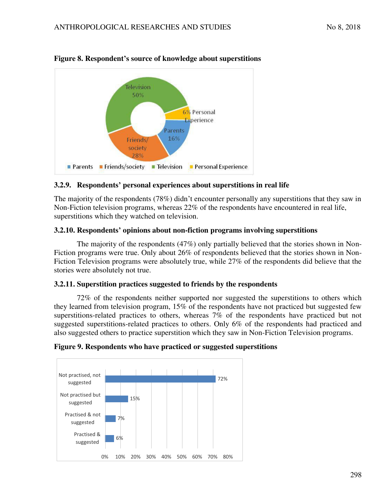

# **Figure 8. Respondent's source of knowledge about superstitions**

## **3.2.9. Respondents' personal experiences about superstitions in real life**

The majority of the respondents (78%) didn't encounter personally any superstitions that they saw in Non-Fiction television programs, whereas 22% of the respondents have encountered in real life, superstitions which they watched on television.

## **3.2.10. Respondents' opinions about non-fiction programs involving superstitions**

The majority of the respondents (47%) only partially believed that the stories shown in Non-Fiction programs were true. Only about 26% of respondents believed that the stories shown in Non-Fiction Television programs were absolutely true, while 27% of the respondents did believe that the stories were absolutely not true.

## **3.2.11. Superstition practices suggested to friends by the respondents**

72% of the respondents neither supported nor suggested the superstitions to others which they learned from television program, 15% of the respondents have not practiced but suggested few superstitions-related practices to others, whereas 7% of the respondents have practiced but not suggested superstitions-related practices to others. Only 6% of the respondents had practiced and also suggested others to practice superstition which they saw in Non-Fiction Television programs.



## **Figure 9. Respondents who have practiced or suggested superstitions**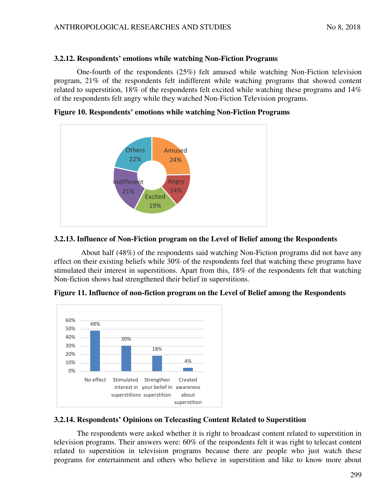## **3.2.12. Respondents' emotions while watching Non-Fiction Programs**

One-fourth of the respondents (25%) felt amused while watching Non-Fiction television program, 21% of the respondents felt indifferent while watching programs that showed content related to superstition, 18% of the respondents felt excited while watching these programs and 14% of the respondents felt angry while they watched Non-Fiction Television programs.

**Figure 10. Respondents' emotions while watching Non-Fiction Programs** 



## **3.2.13. Influence of Non-Fiction program on the Level of Belief among the Respondents**

About half (48%) of the respondents said watching Non-Fiction programs did not have any effect on their existing beliefs while 30% of the respondents feel that watching these programs have stimulated their interest in superstitions. Apart from this, 18% of the respondents felt that watching Non-fiction shows had strengthened their belief in superstitions.





# **3.2.14. Respondents' Opinions on Telecasting Content Related to Superstition**

The respondents were asked whether it is right to broadcast content related to superstition in television programs. Their answers were: 60% of the respondents felt it was right to telecast content related to superstition in television programs because there are people who just watch these programs for entertainment and others who believe in superstition and like to know more about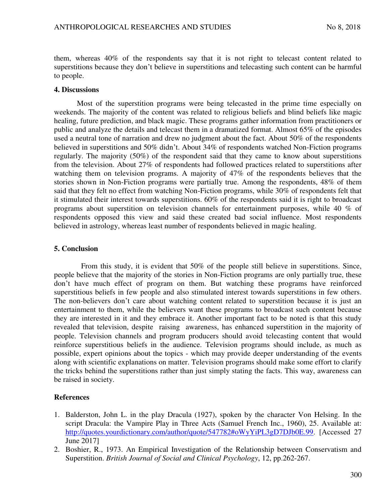them, whereas 40% of the respondents say that it is not right to telecast content related to superstitions because they don't believe in superstitions and telecasting such content can be harmful to people.

#### **4. Discussions**

Most of the superstition programs were being telecasted in the prime time especially on weekends. The majority of the content was related to religious beliefs and blind beliefs like magic healing, future prediction, and black magic. These programs gather information from practitioners or public and analyze the details and telecast them in a dramatized format. Almost 65% of the episodes used a neutral tone of narration and drew no judgment about the fact. About 50% of the respondents believed in superstitions and 50% didn't. About 34% of respondents watched Non-Fiction programs regularly. The majority (50%) of the respondent said that they came to know about superstitions from the television. About 27% of respondents had followed practices related to superstitions after watching them on television programs. A majority of 47% of the respondents believes that the stories shown in Non-Fiction programs were partially true. Among the respondents, 48% of them said that they felt no effect from watching Non-Fiction programs, while 30% of respondents felt that it stimulated their interest towards superstitions. 60% of the respondents said it is right to broadcast programs about superstition on television channels for entertainment purposes, while 40 % of respondents opposed this view and said these created bad social influence. Most respondents believed in astrology, whereas least number of respondents believed in magic healing.

#### **5. Conclusion**

From this study, it is evident that 50% of the people still believe in superstitions. Since, people believe that the majority of the stories in Non-Fiction programs are only partially true, these don't have much effect of program on them. But watching these programs have reinforced superstitious beliefs in few people and also stimulated interest towards superstitions in few others. The non-believers don't care about watching content related to superstition because it is just an entertainment to them, while the believers want these programs to broadcast such content because they are interested in it and they embrace it. Another important fact to be noted is that this study revealed that television, despite raising awareness, has enhanced superstition in the majority of people. Television channels and program producers should avoid telecasting content that would reinforce superstitious beliefs in the audience. Television programs should include, as much as possible, expert opinions about the topics - which may provide deeper understanding of the events along with scientific explanations on matter. Television programs should make some effort to clarify the tricks behind the superstitions rather than just simply stating the facts. This way, awareness can be raised in society.

#### **References**

- 1. Balderston, John L. in the play Dracula (1927), spoken by the character Von Helsing. In the script Dracula: the Vampire Play in Three Acts (Samuel French Inc., 1960), 25. Available at: [http://quotes.yourdictionary.com/author/quote/547782#oWyYiPL3gD7DJb0E.99.](http://quotes.yourdictionary.com/author/quote/547782#oWyYiPL3gD7DJb0E.99) [Accessed 27 June 2017]
- 2. Boshier, R., 1973. An Empirical Investigation of the Relationship between Conservatism and Superstition. *British Journal of Social and Clinical Psychology*, 12, pp.262-267.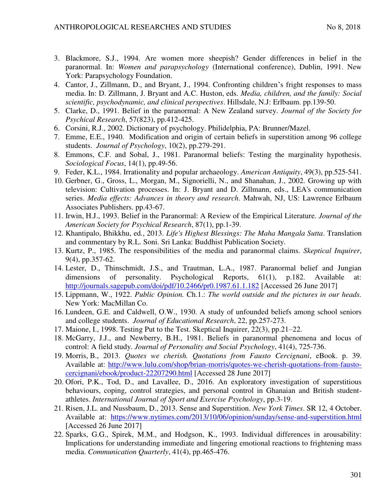- 3. Blackmore, S.J., 1994. Are women more sheepish? Gender differences in belief in the paranormal. In: *Women and parapsychology* (International conference), Dublin, 1991. New York: Parapsychology Foundation.
- 4. Cantor, J., Zillmann, D., and Bryant, J., 1994. Confronting children's fright responses to mass media. In: D. Zillmann, J. Bryant and A.C. Huston, eds. *Media, children, and the family: Social scientific, psychodynamic, and clinical perspectives*. Hillsdale, N.J: Erlbaum. pp.139-50.
- 5. Clarke, D., 1991. Belief in the paranormal: A New Zealand survey. *Journal of the Society for Psychical Research*, 57(823), pp.412-425.
- 6. Corsini, R.J., 2002. Dictionary of psychology. Philidelphia, PA: Brunner/Mazel.
- 7. Emme, E.E., 1940. Modification and origin of certain beliefs in superstition among 96 college students. *Journal of Psychology*, 10(2), pp.279-291.
- 8. Emmons, C.F. and Sobal, J., 1981. Paranormal beliefs: Testing the marginality hypothesis. *Sociological Focus*, 14(1), pp.49-56.
- 9. Feder, K.L., 1984. Irrationality and popular archaeology. *American Antiquity*, 49(3), pp.525-541.
- 10. Gerbner, G., Gross, L., Morgan, M., Signorielli, N., and Shanahan, J., 2002. Growing up with television: Cultivation processes. In: J. Bryant and D. Zillmann, eds., LEA's communication series. *Media effects: Advances in theory and research*. Mahwah, NJ, US: Lawrence Erlbaum Associates Publishers. pp.43-67.
- 11. Irwin, H.J., 1993. Belief in the Paranormal: A Review of the Empirical Literature. *Journal of the American Society for Psychical Research*, 87(1), pp.1-39.
- 12. Khantipalo, Bhikkhu, ed., 2013. *Life's Highest Blessings: The Maha Mangala Sutta*. Translation and commentary by R.L. Soni. Sri Lanka: Buddhist Publication Society.
- 13. Kurtz, P., 1985. The responsibilities of the media and paranormal claims. *Skeptical Inquirer*, 9(4), pp.357-62.
- 14. Lester, D., Thinschmidt, J.S., and Trautman, L.A., 1987. Paranormal belief and Jungian dimensions of personality. Psychological Reports, 61(1), p.182. Available at: <http://journals.sagepub.com/doi/pdf/10.2466/pr0.1987.61.1.182>[Accessed 26 June 2017]
- 15. Lippmann, W., 1922. *Public Opinion.* Ch.1.: *The world outside and the pictures in our heads.*  New York: MacMillan Co.
- 16. Lundeen, G.E. and Caldwell, O.W., 1930. A study of unfounded beliefs among school seniors and college students. *Journal of Educational Research*, 22, pp.257-273.
- 17. Maione, I., 1998. Testing Put to the Test. Skeptical Inquirer, 22(3), pp.21–22.
- 18. McGarry, J.J., and Newberry, B.H., 1981. Beliefs in paranormal phenomena and locus of control: A field study. *Journal of Personality and Social Psychology*, 41(4), 725-736.
- 19. Morris, B., 2013. *Quotes we cherish. Quotations from Fausto Cercignani*, eBook. p. 39. Available at: [http://www.lulu.com/shop/brian-morris/quotes-we-cherish-quotations-from-fausto](http://www.lulu.com/shop/brian-morris/quotes-we-cherish-quotations-from-fausto-cercignani/ebook/product-22207290.html)[cercignani/ebook/product-22207290.html](http://www.lulu.com/shop/brian-morris/quotes-we-cherish-quotations-from-fausto-cercignani/ebook/product-22207290.html) [Accessed 28 June 2017]
- 20. Ofori, P.K., Tod, D., and Lavallee, D., 2016. An exploratory investigation of superstitious behaviours, coping, control strategies, and personal control in Ghanaian and British studentathletes. *International Journal of Sport and Exercise Psychology*, pp.3-19.
- 21. Risen, J.L. and Nussbaum, D., 2013. Sense and Superstition. *New York Times*. SR 12, 4 October. Available at: <https://www.nytimes.com/2013/10/06/opinion/sunday/sense-and-superstition.html> [Accessed 26 June 2017]
- 22. Sparks, G.G., Spirek, M.M., and Hodgson, K., 1993. Individual differences in arousability: Implications for understanding immediate and lingering emotional reactions to frightening mass media. *Communication Quarterly*, 41(4), pp.465-476.